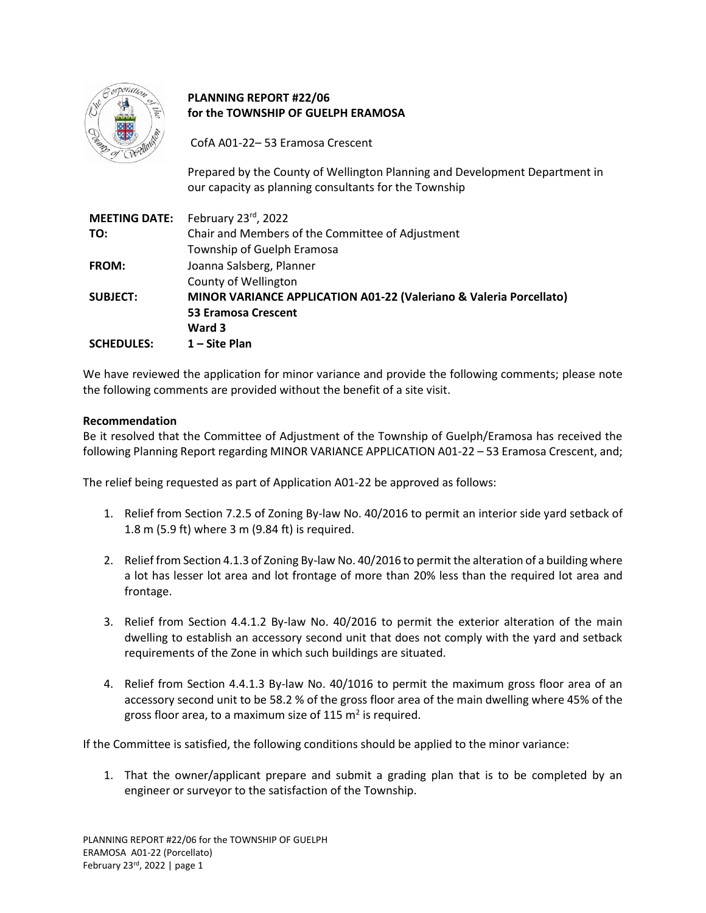

# **PLANNING REPORT #22/06 for the TOWNSHIP OF GUELPH ERAMOSA**

CofA A01-22– 53 Eramosa Crescent

Prepared by the County of Wellington Planning and Development Department in our capacity as planning consultants for the Township

|                   | <b>MEETING DATE:</b> February 23rd, 2022                           |
|-------------------|--------------------------------------------------------------------|
| TO:               | Chair and Members of the Committee of Adjustment                   |
|                   | Township of Guelph Eramosa                                         |
| <b>FROM:</b>      | Joanna Salsberg, Planner                                           |
|                   | County of Wellington                                               |
| <b>SUBJECT:</b>   | MINOR VARIANCE APPLICATION A01-22 (Valeriano & Valeria Porcellato) |
|                   | <b>53 Eramosa Crescent</b>                                         |
|                   | Ward 3                                                             |
| <b>SCHEDULES:</b> | 1 - Site Plan                                                      |

We have reviewed the application for minor variance and provide the following comments; please note the following comments are provided without the benefit of a site visit.

## **Recommendation**

Be it resolved that the Committee of Adjustment of the Township of Guelph/Eramosa has received the following Planning Report regarding MINOR VARIANCE APPLICATION A01-22 – 53 Eramosa Crescent, and;

The relief being requested as part of Application A01-22 be approved as follows:

- 1. Relief from Section 7.2.5 of Zoning By-law No. 40/2016 to permit an interior side yard setback of 1.8 m (5.9 ft) where 3 m (9.84 ft) is required.
- 2. Relief from Section 4.1.3 of Zoning By-law No. 40/2016 to permit the alteration of a building where a lot has lesser lot area and lot frontage of more than 20% less than the required lot area and frontage.
- 3. Relief from Section 4.4.1.2 By-law No. 40/2016 to permit the exterior alteration of the main dwelling to establish an accessory second unit that does not comply with the yard and setback requirements of the Zone in which such buildings are situated.
- 4. Relief from Section 4.4.1.3 By-law No. 40/1016 to permit the maximum gross floor area of an accessory second unit to be 58.2 % of the gross floor area of the main dwelling where 45% of the gross floor area, to a maximum size of 115 m<sup>2</sup> is required.

If the Committee is satisfied, the following conditions should be applied to the minor variance:

1. That the owner/applicant prepare and submit a grading plan that is to be completed by an engineer or surveyor to the satisfaction of the Township.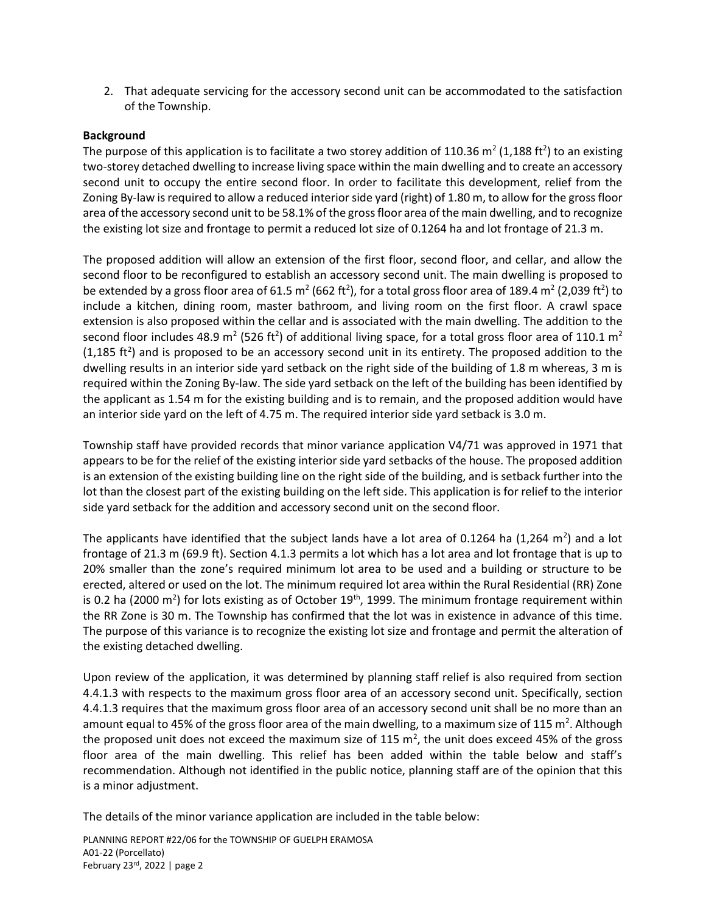2. That adequate servicing for the accessory second unit can be accommodated to the satisfaction of the Township.

## **Background**

The purpose of this application is to facilitate a two storey addition of 110.36 m<sup>2</sup> (1,188 ft<sup>2</sup>) to an existing two-storey detached dwelling to increase living space within the main dwelling and to create an accessory second unit to occupy the entire second floor. In order to facilitate this development, relief from the Zoning By-law is required to allow a reduced interior side yard (right) of 1.80 m, to allow for the gross floor area of the accessory second unit to be 58.1% of the gross floor area of the main dwelling, and to recognize the existing lot size and frontage to permit a reduced lot size of 0.1264 ha and lot frontage of 21.3 m.

The proposed addition will allow an extension of the first floor, second floor, and cellar, and allow the second floor to be reconfigured to establish an accessory second unit. The main dwelling is proposed to be extended by a gross floor area of 61.5 m<sup>2</sup> (662 ft<sup>2</sup>), for a total gross floor area of 189.4 m<sup>2</sup> (2,039 ft<sup>2</sup>) to include a kitchen, dining room, master bathroom, and living room on the first floor. A crawl space extension is also proposed within the cellar and is associated with the main dwelling. The addition to the second floor includes 48.9 m<sup>2</sup> (526 ft<sup>2</sup>) of additional living space, for a total gross floor area of 110.1 m<sup>2</sup>  $(1,185 \text{ ft}^2)$  and is proposed to be an accessory second unit in its entirety. The proposed addition to the dwelling results in an interior side yard setback on the right side of the building of 1.8 m whereas, 3 m is required within the Zoning By-law. The side yard setback on the left of the building has been identified by the applicant as 1.54 m for the existing building and is to remain, and the proposed addition would have an interior side yard on the left of 4.75 m. The required interior side yard setback is 3.0 m.

Township staff have provided records that minor variance application V4/71 was approved in 1971 that appears to be for the relief of the existing interior side yard setbacks of the house. The proposed addition is an extension of the existing building line on the right side of the building, and is setback further into the lot than the closest part of the existing building on the left side. This application is for relief to the interior side yard setback for the addition and accessory second unit on the second floor.

The applicants have identified that the subject lands have a lot area of 0.1264 ha (1,264 m<sup>2</sup>) and a lot frontage of 21.3 m (69.9 ft). Section 4.1.3 permits a lot which has a lot area and lot frontage that is up to 20% smaller than the zone's required minimum lot area to be used and a building or structure to be erected, altered or used on the lot. The minimum required lot area within the Rural Residential (RR) Zone is 0.2 ha (2000 m<sup>2</sup>) for lots existing as of October 19<sup>th</sup>, 1999. The minimum frontage requirement within the RR Zone is 30 m. The Township has confirmed that the lot was in existence in advance of this time. The purpose of this variance is to recognize the existing lot size and frontage and permit the alteration of the existing detached dwelling.

Upon review of the application, it was determined by planning staff relief is also required from section 4.4.1.3 with respects to the maximum gross floor area of an accessory second unit. Specifically, section 4.4.1.3 requires that the maximum gross floor area of an accessory second unit shall be no more than an amount equal to 45% of the gross floor area of the main dwelling, to a maximum size of 115 m<sup>2</sup>. Although the proposed unit does not exceed the maximum size of 115 m<sup>2</sup>, the unit does exceed 45% of the gross floor area of the main dwelling. This relief has been added within the table below and staff's recommendation. Although not identified in the public notice, planning staff are of the opinion that this is a minor adjustment.

The details of the minor variance application are included in the table below:

PLANNING REPORT #22/06 for the TOWNSHIP OF GUELPH ERAMOSA A01-22 (Porcellato) February 23rd , 2022 | page 2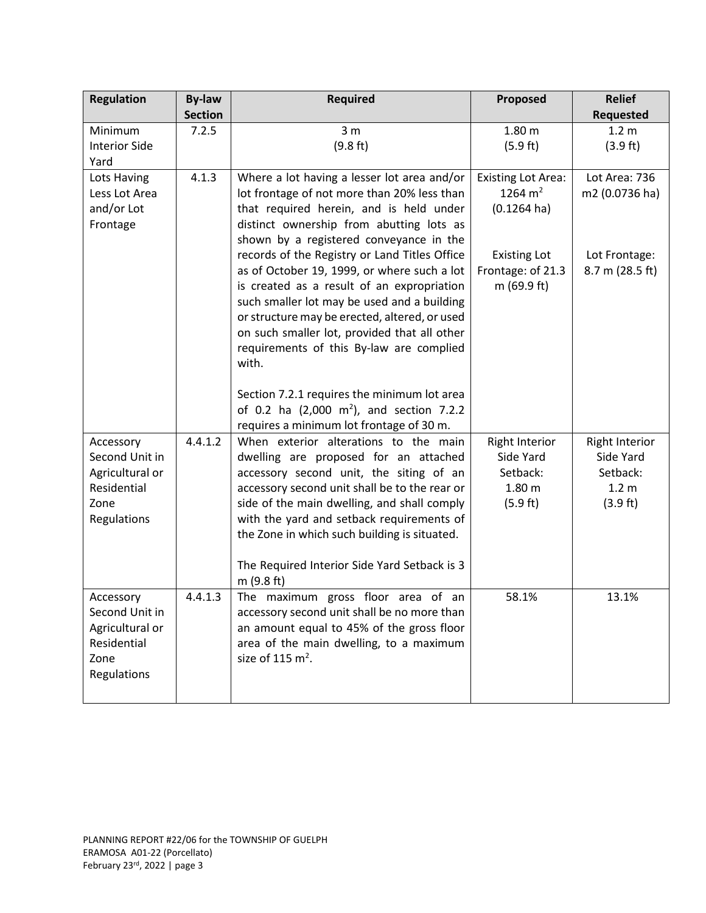| <b>Regulation</b>                                                                    | <b>By-law</b><br><b>Section</b> | <b>Required</b>                                                                                                                                                                                                                                                                                                                                                                                                                                                                                                                                                                                                                | Proposed                                                                                                                   | <b>Relief</b><br><b>Requested</b>                                              |
|--------------------------------------------------------------------------------------|---------------------------------|--------------------------------------------------------------------------------------------------------------------------------------------------------------------------------------------------------------------------------------------------------------------------------------------------------------------------------------------------------------------------------------------------------------------------------------------------------------------------------------------------------------------------------------------------------------------------------------------------------------------------------|----------------------------------------------------------------------------------------------------------------------------|--------------------------------------------------------------------------------|
| Minimum<br><b>Interior Side</b><br>Yard                                              | 7.2.5                           | 3 <sub>m</sub><br>(9.8 ft)                                                                                                                                                                                                                                                                                                                                                                                                                                                                                                                                                                                                     | 1.80 <sub>m</sub><br>(5.9 ft)                                                                                              | 1.2 <sub>m</sub><br>(3.9 ft)                                                   |
| Lots Having<br>Less Lot Area<br>and/or Lot<br>Frontage                               | 4.1.3                           | Where a lot having a lesser lot area and/or<br>lot frontage of not more than 20% less than<br>that required herein, and is held under<br>distinct ownership from abutting lots as<br>shown by a registered conveyance in the<br>records of the Registry or Land Titles Office<br>as of October 19, 1999, or where such a lot<br>is created as a result of an expropriation<br>such smaller lot may be used and a building<br>or structure may be erected, altered, or used<br>on such smaller lot, provided that all other<br>requirements of this By-law are complied<br>with.<br>Section 7.2.1 requires the minimum lot area | <b>Existing Lot Area:</b><br>1264 $m2$<br>$(0.1264 \text{ ha})$<br><b>Existing Lot</b><br>Frontage: of 21.3<br>m (69.9 ft) | Lot Area: 736<br>m2 (0.0736 ha)<br>Lot Frontage:<br>8.7 m (28.5 ft)            |
|                                                                                      |                                 | of 0.2 ha $(2,000 \text{ m}^2)$ , and section 7.2.2<br>requires a minimum lot frontage of 30 m.                                                                                                                                                                                                                                                                                                                                                                                                                                                                                                                                |                                                                                                                            |                                                                                |
| Accessory<br>Second Unit in<br>Agricultural or<br>Residential<br>Zone<br>Regulations | 4.4.1.2                         | When exterior alterations to the main<br>dwelling are proposed for an attached<br>accessory second unit, the siting of an<br>accessory second unit shall be to the rear or<br>side of the main dwelling, and shall comply<br>with the yard and setback requirements of<br>the Zone in which such building is situated.<br>The Required Interior Side Yard Setback is 3<br>m (9.8 ft)                                                                                                                                                                                                                                           | <b>Right Interior</b><br>Side Yard<br>Setback:<br>1.80 <sub>m</sub><br>(5.9 ft)                                            | <b>Right Interior</b><br>Side Yard<br>Setback:<br>1.2 <sub>m</sub><br>(3.9 ft) |
| Accessory<br>Second Unit in<br>Agricultural or<br>Residential<br>Zone<br>Regulations | 4.4.1.3                         | The maximum gross floor area of an<br>accessory second unit shall be no more than<br>an amount equal to 45% of the gross floor<br>area of the main dwelling, to a maximum<br>size of 115 $m2$ .                                                                                                                                                                                                                                                                                                                                                                                                                                | 58.1%                                                                                                                      | 13.1%                                                                          |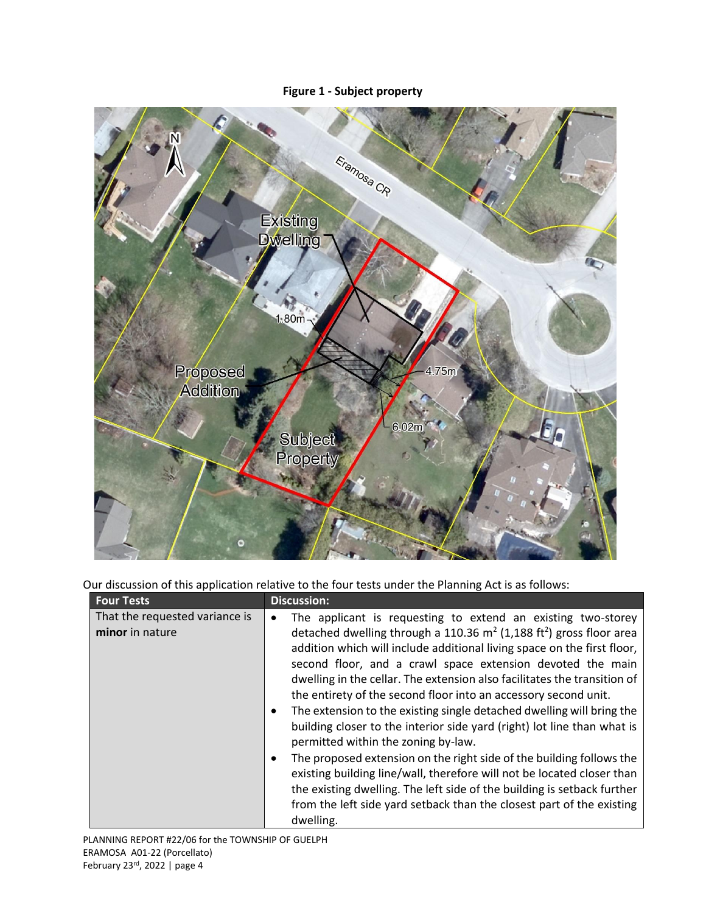# **Figure 1 - Subject property**



Our discussion of this application relative to the four tests under the Planning Act is as follows:

| <b>Four Tests</b>                                 | <b>Discussion:</b>                                                                                                                                                                                                                                                                                                                                                                                                                                                                                                                                                                                                                                                                                                                                                                                                                                                                                                                                       |
|---------------------------------------------------|----------------------------------------------------------------------------------------------------------------------------------------------------------------------------------------------------------------------------------------------------------------------------------------------------------------------------------------------------------------------------------------------------------------------------------------------------------------------------------------------------------------------------------------------------------------------------------------------------------------------------------------------------------------------------------------------------------------------------------------------------------------------------------------------------------------------------------------------------------------------------------------------------------------------------------------------------------|
| That the requested variance is<br>minor in nature | The applicant is requesting to extend an existing two-storey<br>detached dwelling through a 110.36 $m^2$ (1,188 ft <sup>2</sup> ) gross floor area<br>addition which will include additional living space on the first floor,<br>second floor, and a crawl space extension devoted the main<br>dwelling in the cellar. The extension also facilitates the transition of<br>the entirety of the second floor into an accessory second unit.<br>The extension to the existing single detached dwelling will bring the<br>building closer to the interior side yard (right) lot line than what is<br>permitted within the zoning by-law.<br>The proposed extension on the right side of the building follows the<br>existing building line/wall, therefore will not be located closer than<br>the existing dwelling. The left side of the building is setback further<br>from the left side yard setback than the closest part of the existing<br>dwelling. |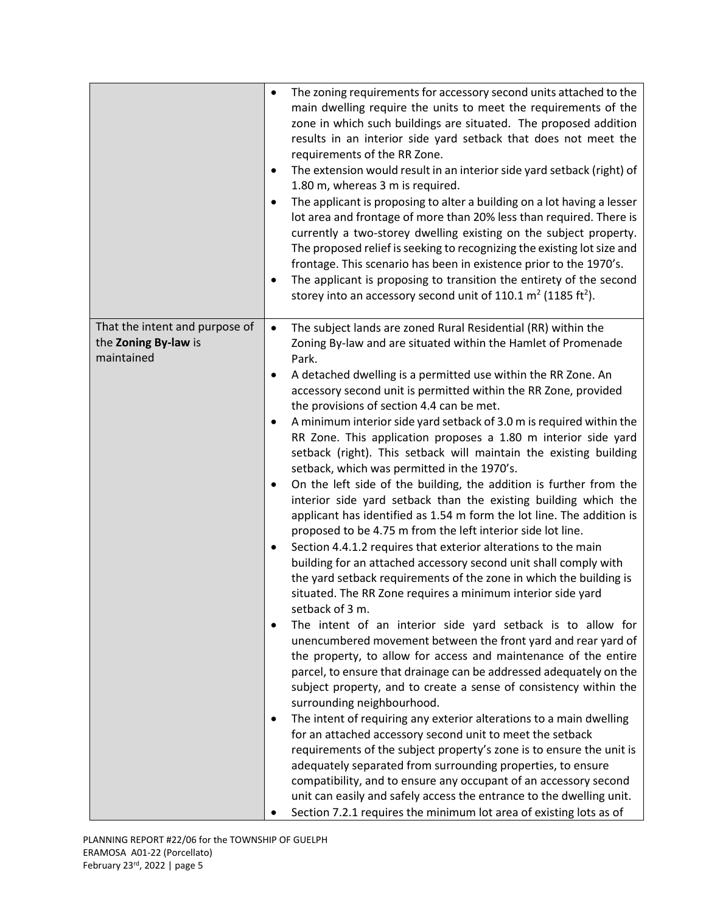|                                                                      | The zoning requirements for accessory second units attached to the<br>$\bullet$<br>main dwelling require the units to meet the requirements of the<br>zone in which such buildings are situated. The proposed addition<br>results in an interior side yard setback that does not meet the<br>requirements of the RR Zone.<br>The extension would result in an interior side yard setback (right) of<br>$\bullet$<br>1.80 m, whereas 3 m is required.<br>The applicant is proposing to alter a building on a lot having a lesser<br>lot area and frontage of more than 20% less than required. There is<br>currently a two-storey dwelling existing on the subject property.<br>The proposed relief is seeking to recognizing the existing lot size and<br>frontage. This scenario has been in existence prior to the 1970's.<br>The applicant is proposing to transition the entirety of the second<br>storey into an accessory second unit of 110.1 $m2$ (1185 ft <sup>2</sup> ).                                                                                                                                                                                                                                                                                                                                                                                                                                                                                                                                                                                                                                                                                                                                                                                                                                                                                                                                                                                                                                                                                                         |
|----------------------------------------------------------------------|--------------------------------------------------------------------------------------------------------------------------------------------------------------------------------------------------------------------------------------------------------------------------------------------------------------------------------------------------------------------------------------------------------------------------------------------------------------------------------------------------------------------------------------------------------------------------------------------------------------------------------------------------------------------------------------------------------------------------------------------------------------------------------------------------------------------------------------------------------------------------------------------------------------------------------------------------------------------------------------------------------------------------------------------------------------------------------------------------------------------------------------------------------------------------------------------------------------------------------------------------------------------------------------------------------------------------------------------------------------------------------------------------------------------------------------------------------------------------------------------------------------------------------------------------------------------------------------------------------------------------------------------------------------------------------------------------------------------------------------------------------------------------------------------------------------------------------------------------------------------------------------------------------------------------------------------------------------------------------------------------------------------------------------------------------------------------------------------|
| That the intent and purpose of<br>the Zoning By-law is<br>maintained | The subject lands are zoned Rural Residential (RR) within the<br>$\bullet$<br>Zoning By-law and are situated within the Hamlet of Promenade<br>Park.<br>A detached dwelling is a permitted use within the RR Zone. An<br>accessory second unit is permitted within the RR Zone, provided<br>the provisions of section 4.4 can be met.<br>A minimum interior side yard setback of 3.0 m is required within the<br>RR Zone. This application proposes a 1.80 m interior side yard<br>setback (right). This setback will maintain the existing building<br>setback, which was permitted in the 1970's.<br>On the left side of the building, the addition is further from the<br>$\bullet$<br>interior side yard setback than the existing building which the<br>applicant has identified as 1.54 m form the lot line. The addition is<br>proposed to be 4.75 m from the left interior side lot line.<br>Section 4.4.1.2 requires that exterior alterations to the main<br>٠<br>building for an attached accessory second unit shall comply with<br>the yard setback requirements of the zone in which the building is<br>situated. The RR Zone requires a minimum interior side yard<br>setback of 3 m.<br>The intent of an interior side yard setback is to allow for<br>$\bullet$<br>unencumbered movement between the front yard and rear yard of<br>the property, to allow for access and maintenance of the entire<br>parcel, to ensure that drainage can be addressed adequately on the<br>subject property, and to create a sense of consistency within the<br>surrounding neighbourhood.<br>The intent of requiring any exterior alterations to a main dwelling<br>for an attached accessory second unit to meet the setback<br>requirements of the subject property's zone is to ensure the unit is<br>adequately separated from surrounding properties, to ensure<br>compatibility, and to ensure any occupant of an accessory second<br>unit can easily and safely access the entrance to the dwelling unit.<br>Section 7.2.1 requires the minimum lot area of existing lots as of |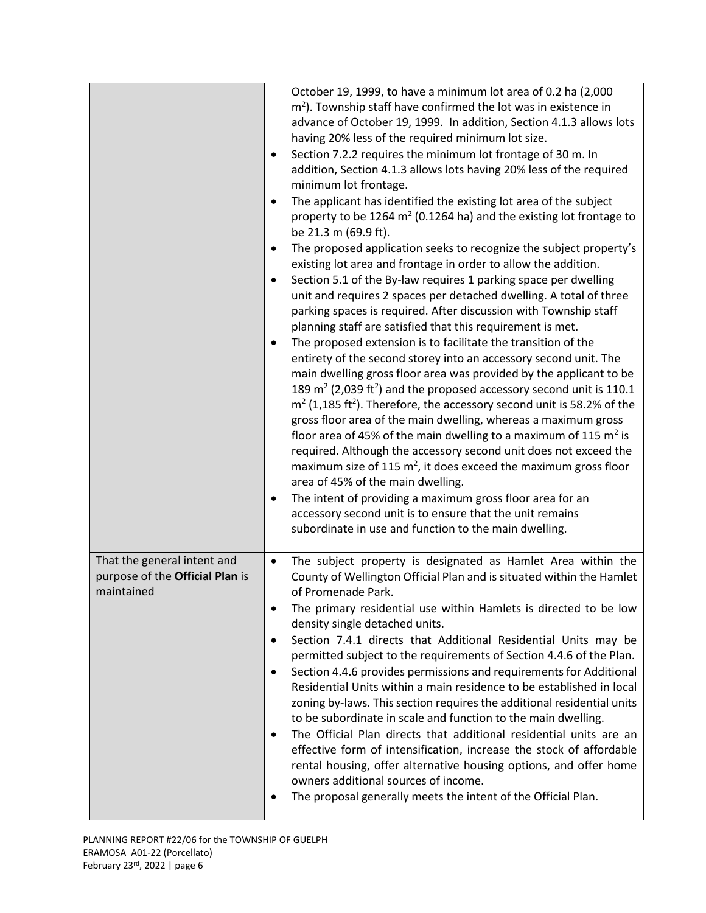|                                                                              | October 19, 1999, to have a minimum lot area of 0.2 ha (2,000<br>$m2$ ). Township staff have confirmed the lot was in existence in<br>advance of October 19, 1999. In addition, Section 4.1.3 allows lots<br>having 20% less of the required minimum lot size.<br>Section 7.2.2 requires the minimum lot frontage of 30 m. In<br>$\bullet$<br>addition, Section 4.1.3 allows lots having 20% less of the required<br>minimum lot frontage.<br>The applicant has identified the existing lot area of the subject<br>property to be 1264 $m2$ (0.1264 ha) and the existing lot frontage to<br>be 21.3 m (69.9 ft).<br>The proposed application seeks to recognize the subject property's<br>existing lot area and frontage in order to allow the addition.<br>Section 5.1 of the By-law requires 1 parking space per dwelling<br>unit and requires 2 spaces per detached dwelling. A total of three<br>parking spaces is required. After discussion with Township staff<br>planning staff are satisfied that this requirement is met.<br>The proposed extension is to facilitate the transition of the<br>$\bullet$<br>entirety of the second storey into an accessory second unit. The<br>main dwelling gross floor area was provided by the applicant to be<br>189 $m2$ (2,039 ft <sup>2</sup> ) and the proposed accessory second unit is 110.1<br>$m2$ (1,185 ft <sup>2</sup> ). Therefore, the accessory second unit is 58.2% of the<br>gross floor area of the main dwelling, whereas a maximum gross<br>floor area of 45% of the main dwelling to a maximum of 115 $m2$ is<br>required. Although the accessory second unit does not exceed the<br>maximum size of 115 $m^2$ , it does exceed the maximum gross floor<br>area of 45% of the main dwelling.<br>The intent of providing a maximum gross floor area for an<br>٠<br>accessory second unit is to ensure that the unit remains<br>subordinate in use and function to the main dwelling. |
|------------------------------------------------------------------------------|-------------------------------------------------------------------------------------------------------------------------------------------------------------------------------------------------------------------------------------------------------------------------------------------------------------------------------------------------------------------------------------------------------------------------------------------------------------------------------------------------------------------------------------------------------------------------------------------------------------------------------------------------------------------------------------------------------------------------------------------------------------------------------------------------------------------------------------------------------------------------------------------------------------------------------------------------------------------------------------------------------------------------------------------------------------------------------------------------------------------------------------------------------------------------------------------------------------------------------------------------------------------------------------------------------------------------------------------------------------------------------------------------------------------------------------------------------------------------------------------------------------------------------------------------------------------------------------------------------------------------------------------------------------------------------------------------------------------------------------------------------------------------------------------------------------------------------------------------------------------------------------------------------------------------------------------------------|
| That the general intent and<br>purpose of the Official Plan is<br>maintained | The subject property is designated as Hamlet Area within the<br>$\bullet$<br>County of Wellington Official Plan and is situated within the Hamlet<br>of Promenade Park.<br>The primary residential use within Hamlets is directed to be low<br>density single detached units.<br>Section 7.4.1 directs that Additional Residential Units may be<br>$\bullet$<br>permitted subject to the requirements of Section 4.4.6 of the Plan.<br>Section 4.4.6 provides permissions and requirements for Additional<br>٠<br>Residential Units within a main residence to be established in local<br>zoning by-laws. This section requires the additional residential units<br>to be subordinate in scale and function to the main dwelling.<br>The Official Plan directs that additional residential units are an<br>٠<br>effective form of intensification, increase the stock of affordable<br>rental housing, offer alternative housing options, and offer home<br>owners additional sources of income.<br>The proposal generally meets the intent of the Official Plan.                                                                                                                                                                                                                                                                                                                                                                                                                                                                                                                                                                                                                                                                                                                                                                                                                                                                                     |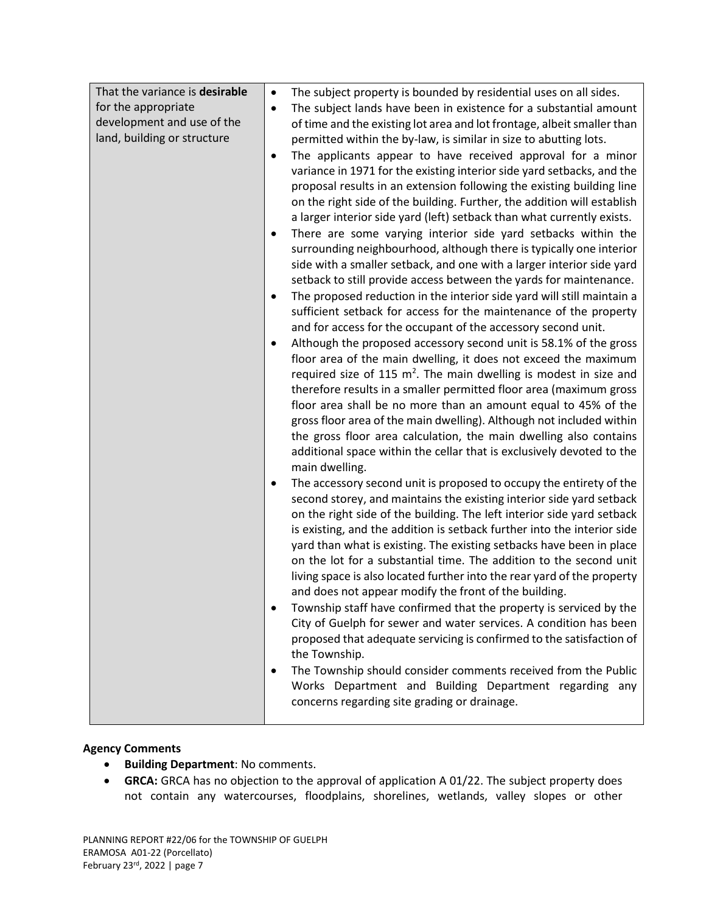## **Agency Comments**

- **•** Building Department: No comments.
- **GRCA:** GRCA has no objection to the approval of application A 01/22. The subject property does not contain any watercourses, floodplains, shorelines, wetlands, valley slopes or other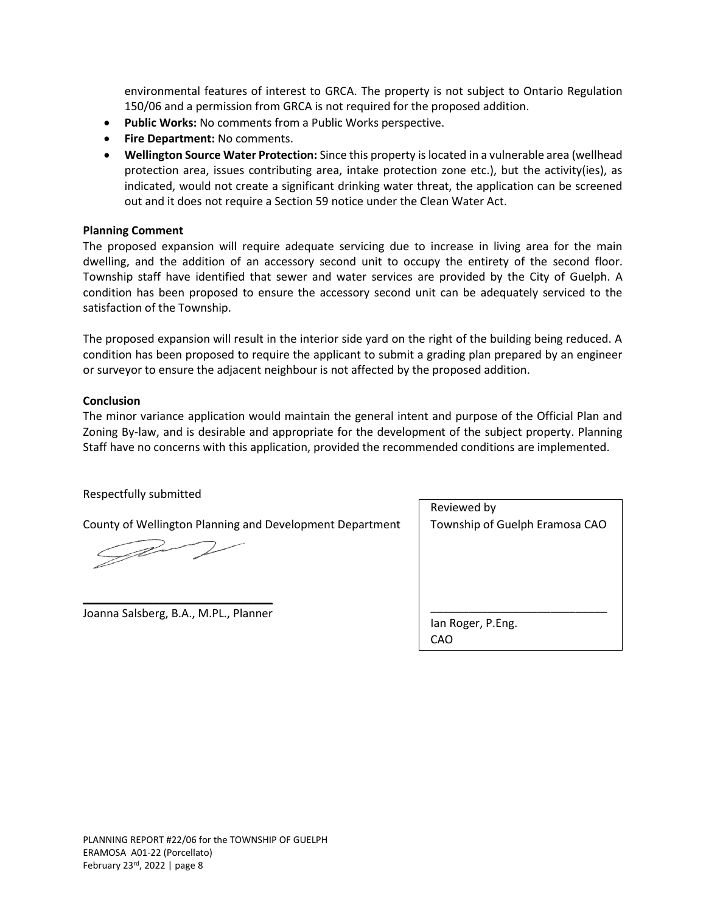environmental features of interest to GRCA. The property is not subject to Ontario Regulation 150/06 and a permission from GRCA is not required for the proposed addition.

- **Public Works:** No comments from a Public Works perspective.
- **Fire Department:** No comments.
- **Wellington Source Water Protection:** Since this property is located in a vulnerable area (wellhead protection area, issues contributing area, intake protection zone etc.), but the activity(ies), as indicated, would not create a significant drinking water threat, the application can be screened out and it does not require a Section 59 notice under the Clean Water Act.

#### **Planning Comment**

The proposed expansion will require adequate servicing due to increase in living area for the main dwelling, and the addition of an accessory second unit to occupy the entirety of the second floor. Township staff have identified that sewer and water services are provided by the City of Guelph. A condition has been proposed to ensure the accessory second unit can be adequately serviced to the satisfaction of the Township.

The proposed expansion will result in the interior side yard on the right of the building being reduced. A condition has been proposed to require the applicant to submit a grading plan prepared by an engineer or surveyor to ensure the adjacent neighbour is not affected by the proposed addition.

#### **Conclusion**

The minor variance application would maintain the general intent and purpose of the Official Plan and Zoning By-law, and is desirable and appropriate for the development of the subject property. Planning Staff have no concerns with this application, provided the recommended conditions are implemented.

## Respectfully submitted

County of Wellington Planning and Development Department

TP -

\_\_\_\_\_\_\_\_\_\_\_\_\_\_\_\_\_\_\_\_\_\_\_\_\_\_\_\_\_\_ Joanna Salsberg, B.A., M.PL., Planner

| Reviewed by                    |
|--------------------------------|
| Township of Guelph Eramosa CAO |
|                                |
|                                |
|                                |
|                                |
|                                |
| lan Roger, P.Eng.              |
| CAO                            |
|                                |